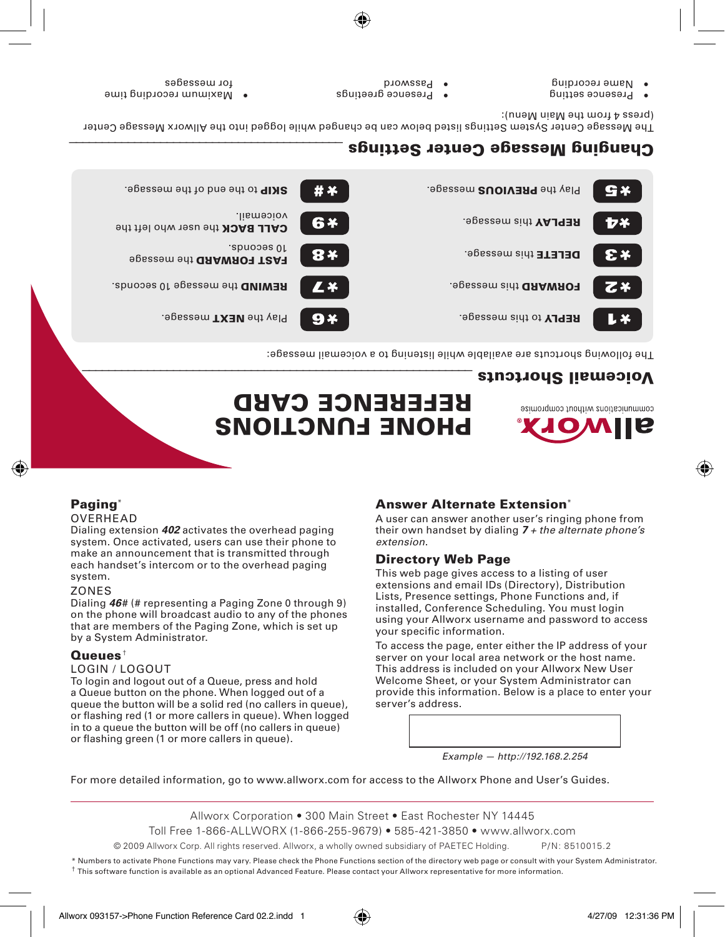\* Numbers to activate Phone Functions may vary. Please check the Phone Functions section of the directory web page or consult with your System Administrator. † This software function is available as an optional Advanced Feature. Please contact your Allworx representative for more information.

server's address.

*extension*.

Allworx Corporation • 300 Main Street • East Rochester NY 14445

Toll Free 1-866-ALLWORX (1-866-255-9679) • 585-421-3850 • www.allworx.com

© 2009 Allworx Corp. All rights reserved. Allworx, a wholly owned subsidiary of PAETEC Holding. P/ N: 8510015.2

*Example — http://192.168.2.254*

For more detailed information, go to www.allworx.com for access to the Allworx Phone and User's Guides.

# **SNOILONG FUNCTIONS REFERENCE CARD** The following shortcuts are available while listening to a voicemail message:

FORWARD this message. The extends of the extends of the extends.

message. The Play message. The Play message. The Play message.  $\mathbb{R}^{\mathbf{Q}}$ 



## Voicemail Shortcuts

Play the PREVIOUS message. the set of the to the to the end of the message. G X voicemail. The voice matrix of the value of the value of the value of the value of the value of the value of the value of the value of the value of the value of the value of the value of the value of the value of the value **DELETE** this message.

Answer Alternate Extension\*

Directory Web Page

your specific information.

A user can answer another user's ringing phone from their own handset by dialing *7 + the alternate phone's* 

To access the page, enter either the IP address of your server on your local area network or the host name. This address is included on your Allworx New User Welcome Sheet, or your System Administrator can provide this information. Below is a place to enter your

This web page gives access to a listing of user extensions and email IDs (Directory), Distribution Lists, Presence settings, Phone Functions and, if installed, Conference Scheduling. You must login using your Allworx username and password to access

# Changing Message Center Settings

The Message Center System Settings listed below can be changed allie logged into the Allworx Message Center (press 4 from the Main Menu):

- Buities esting
- Name recording
- 
- 
- 
- 
- 
- **Password**
- **e** Presence greetings

tor messages

Paging<sup>\*</sup> **OVERHEAD** 

system. Zones

Queues† Login / Logout

by a System Administrator.

· Maximum recording time

FAST FORWARD the message

Dialing extension *402* activates the overhead paging system. Once activated, users can use their phone to make an announcement that is transmitted through each handset's intercom or to the overhead paging

Dialing *46*# (# representing a Paging Zone 0 through 9) on the phone will broadcast audio to any of the phones that are members of the Paging Zone, which is set up

To login and logout out of a Queue, press and hold a Queue button on the phone. When logged out of a queue the button will be a solid red (no callers in queue), or flashing red (1 or more callers in queue). When logged in to a queue the button will be off (no callers in queue) or flashing green (1 or more callers in queue).

CALL BACK the user who left the